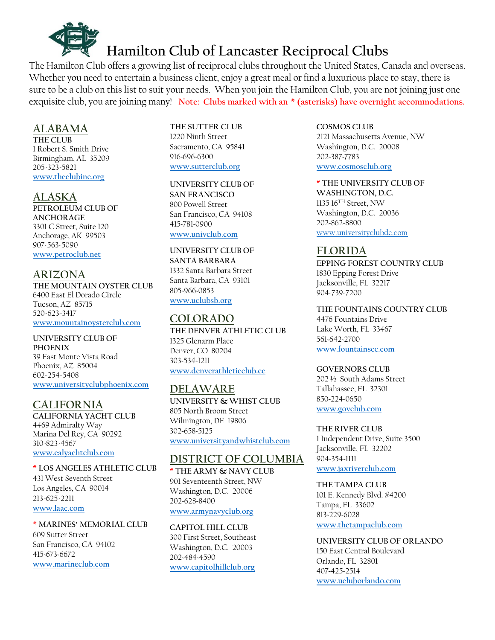

The Hamilton Club offers a growing list of reciprocal clubs throughout the United States, Canada and overseas. Whether you need to entertain a business client, enjoy a great meal or find a luxurious place to stay, there is sure to be a club on this list to suit your needs. When you join the Hamilton Club, you are not joining just one exquisite club, you are joining many! **Note: Clubs marked with an \* (asterisks) have overnight accommodations.**

## **ALABAMA**

**THE CLUB** 1 Robert S. Smith Drive Birmingham, AL 35209 205-323-5821 **[www.theclubinc.org](http://www.theclubinc.org/)**

## **ALASKA**

**PETROLEUM CLUB OF ANCHORAGE** 3301 C Street, Suite 120 Anchorage, AK 99503 907-563-5090 **[www.petroclub.net](http://www.petroclub.net/)**

## **ARIZONA**

**THE MOUNTAIN OYSTER CLUB** 6400 East El Dorado Circle Tucson, AZ 85715 520-623-3417 **[www.mountainoysterclub.com](http://www.mountainoysterclub.com/)**

**UNIVERSITY CLUB OF PHOENIX** 39 East Monte Vista Road Phoenix, AZ 85004 602-254-5408 **[www.universityclubphoenix.com](http://www.universityclubphoenix.com/)**

## **CALIFORNIA**

**CALIFORNIA YACHT CLUB** 4469 Admiralty Way Marina Del Rey, CA 90292 310-823-4567 **[www.calyachtclub.com](http://www.calyachtclub.com/)**

#### **\* LOS ANGELES ATHLETIC CLUB**

431 West Seventh Street Los Angeles, CA 90014 213-625-2211 **[www.laac.com](http://www.laac.com/)**

#### **\* MARINES' MEMORIAL CLUB**

609 Sutter Street San Francisco, CA 94102 415~673~6672 **[www.marineclub.com](http://www.marineclub.com/)**

**THE SUTTER CLUB** 1220 Ninth Street Sacramento, CA 95841 916~696~6300 **[www.sutterclub.org](http://www.sutterclub.org/)**

**UNIVERSITY CLUB OF SAN FRANCISCO** 800 Powell Street San Francisco, CA 94108 415~781~0900 **[www.univclub.com](http://www.univclub.com/)**

**UNIVERSITY CLUB OF SANTA BARBARA** 1332 Santa Barbara Street Santa Barbara, CA 93101 805~966~0853 **[www.uclubsb.org](http://www.uclubsb.org/)**

## **COLORADO**

**THE DENVER ATHLETIC CLUB** 1325 Glenarm Place Denver, CO 80204 303~534~1211 **[www.denverathleticclub.cc](http://www.denverathleticclub.cc/)**

## **DELAWARE**

**UNIVERSITY & WHIST CLUB** 805 North Broom Street Wilmington, DE 19806 302~658~5125 **[www.universityandwhistclub.com](http://www.universityandwhistclub.com/)**

## **DISTRICT OF COLUMBIA**

\* **THE ARMY & NAVY CLUB** 901 Seventeenth Street, NW Washington, D.C. 20006 202~628~8400 **[www.armynavyclub.org](http://www.armynavyclub.org/)**

**CAPITOL HILL CLUB** 300 First Street, Southeast Washington, D.C. 20003 202~484~4590 **[www.capitolhillclub.org](http://www.capitolhillclub.org/)**

**COSMOS CLUB** 2121 Massachusetts Avenue, NW Washington, D.C. 20008 202~387~7783 **[www.cosmosclub.org](http://www.cosmosclub.org/)**

\* **THE UNIVERSITY CLUB OF WASHINGTON, D.C.** 1135 16TH Street, NW Washington, D.C. 20036 202~862~8800 [www.universityclubdc.com](http://www.universityclubdc.com/)

## **FLORIDA**

**EPPING FOREST COUNTRY CLUB** 1830 Epping Forest Drive Jacksonville, FL 32217 904-739-7200

### **THE FOUNTAINS COUNTRY CLUB**

4476 Fountains Drive Lake Worth, FL 33467 561~642~2700 **[www.fountainscc.com](http://www.fountainscc.com/)**

#### **GOVERNORS CLUB**

202 ½ South Adams Street Tallahassee, FL 32301 850~224~0650 **[www.govclub.com](http://www.govclub.com/)**

#### **THE RIVER CLUB**

1 Independent Drive, Suite 3500 Jacksonville, FL 32202 904~354~1111 **[www.jaxriverclub.com](http://www.jaxriverclub.com/)**

### **THE TAMPA CLUB**

101 E. Kennedy Blvd. #4200 Tampa, FL 33602 813~229~6028 **[www.thetampaclub.com](http://www.thetampaclub.com/)**

#### **UNIVERSITY CLUB OF ORLANDO** 150 East Central Boulevard

Orlando, FL 32801 407~425~2514 **[www.ucluborlando.com](http://www.ucluborlando.com/)**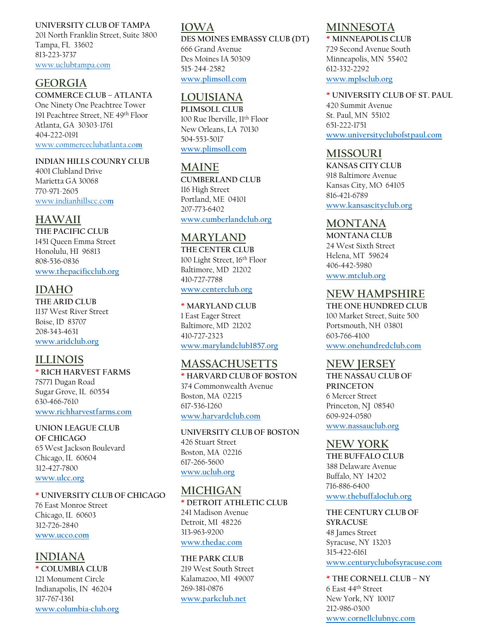#### **UNIVERSITY CLUB OF TAMPA**

201 North Franklin Street, Suite 3800 Tampa, FL 33602 813~223~3737 [www.uclubtampa.com](http://www.uclubtampa.com/)

## **GEORGIA**

### **COMMERCE CLUB – ATLANTA**

One Ninety One Peachtree Tower 191 Peachtree Street, NE 49th Floor Atlanta, GA 30303-1761 404~222~0191 [www.commerceclubatlanta.co](http://www.commerceclubatlanta.co/)**m**

#### **INDIAN HILLS COUNRY CLUB**

4001 Clubland Drive Marietta GA 30068 770-971-2605 [www.indianhillscc.co](http://www.indianhillscc.com/)**[m](http://www.indianhillscc.com/)**

## **HAWAII**

**THE PACIFIC CLUB** 1451 Queen Emma Street Honolulu, HI 96813 808~536~0836 **[www.thepacificclub.org](http://www.thepacificclub.org/)**

## **IDAHO**

**THE ARID CLUB** 1137 West River Street Boise, ID 83707 208~343~4631 **[www.aridclub.org](http://www.aridclub.org/)**

## **ILLINOIS**

\* **RICH HARVEST FARMS** 7S771 Dugan Road Sugar Grove, IL 60554 630~466~7610 **[www.richharvestfarms.com](http://www.richharvestfarms.com/)**

**UNION LEAGUE CLUB OF CHICAGO** 65 West Jackson Boulevard Chicago, IL 60604 312~427~7800 **[www.ulcc.org](http://www.ulcc.org/)**

#### **\* UNIVERSITY CLUB OF CHICAGO**

76 East Monroe Street Chicago, IL 60603 312~726~2840 **[www.ucco.com](http://www.ucco.com/)**

## **INDIANA**

**\* COLUMBIA CLUB** 121 Monument Circle Indianapolis, IN 46204 317~767~1361 **[www.columbia~club.org](http://www.columbia~club.org/)**

## **IOWA**

**DES MOINES EMBASSY CLUB (DT)** 666 Grand Avenue Des Moines IA 50309 515-244-2582 **[www.plimsoll.com](http://www.plimsoll.com/)**

## **LOUISIANA**

**PLIMSOLL CLUB** 100 Rue Iberville, 11th Floor New Orleans, LA 70130 504~553~5017 **[www.plimsoll.com](http://www.plimsoll.com/)**

## **MAINE**

**CUMBERLAND CLUB** 116 High Street Portland, ME 04101 207~773~6402 **[www.cumberlandclub.org](http://www.cumberlandclub.org/)**

## **MARYLAND**

**THE CENTER CLUB** 100 Light Street, 16th Floor Baltimore, MD 21202 410~727~7788 **[www.centerclub.org](http://www.centerclub.org/)**

## **\* MARYLAND CLUB**

1 East Eager Street Baltimore, MD 21202 410~727~2323 **[www.marylandclub1857.org](http://www.marylandclub1857.org/)**

## **MASSACHUSETTS**

**\* HARVARD CLUB OF BOSTON** 374 Commonwealth Avenue Boston, MA 02215 617~536~1260 **[www.harvardclub.com](http://www.harvardclub.com/)**

**UNIVERSITY CLUB OF BOSTON** 426 Stuart Street Boston, MA 02216 617~266~5600 **[www.uclub.org](http://www.uclub.org/)**

## **MICHIGAN**

**\* DETROIT ATHLETIC CLUB** 241 Madison Avenue Detroit, MI 48226 313~963~9200 **[www.t](http://www./)hedac.com**

#### **THE PARK CLUB** 219 West South Street

Kalamazoo, MI 49007 269~381~0876 **[www.parkclub.n](http://www.parkclub./)et**

## **MINNESOTA**

**\* MINNEAPOLIS CLUB** 729 Second Avenue South Minneapolis, MN 55402 612~332~2292 **[www.mplsclub.org](http://www.mplsclub.org/)**

#### **\* UNIVERSITY CLUB OF ST. PAUL**

420 Summit Avenue St. Paul, MN 55102 651~222~1751 **[www.universityclubofstpaul.com](http://www.universityclubofstpaul.com/)**

### **MISSOURI**

**KANSAS CITY CLUB** 918 Baltimore Avenue Kansas City, MO 64105 816~421~6789 **[www.kansascityclub.org](http://www.kansascityclub.org/)**

## **MONTANA**

**MONTANA CLUB** 24 West Sixth Street Helena, MT 59624 406~442~5980 **[www.mtclub.org](http://www.mtclub.org/)**

## **NEW HAMPSHIRE**

**THE ONE HUNDRED CLUB** 100 Market Street, Suite 500 Portsmouth, NH 03801 603~766~4100 **[www.onehundredclub.com](http://www.onehundredclub.com/)**

### **NEW JERSEY**

**THE NASSAU CLUB OF PRINCETON** 6 Mercer Street Princeton, NJ 08540 609~924~0580 **[www.nassauclub.org](http://www.nassauclub.org/)**

### **NEW YORK**

**THE BUFFALO CLUB** 388 Delaware Avenue Buffalo, NY 14202 716~886~6400 **[www.thebuffaloclub.org](http://www.thebuffaloclub.org/)**

### **THE CENTURY CLUB OF**

**SYRACUSE** 48 James Street Syracuse, NY 13203 315~422~6161 **[www.centuryclubofsyracuse.com](http://www.centuryclubofsyracuse.co/)**

**\* THE CORNELL CLUB – NY** 6 East 44th Street New York, NY 10017 212~986~0300 **[www.cornellclubnyc.com](http://www.cornellclubnyc.com/)**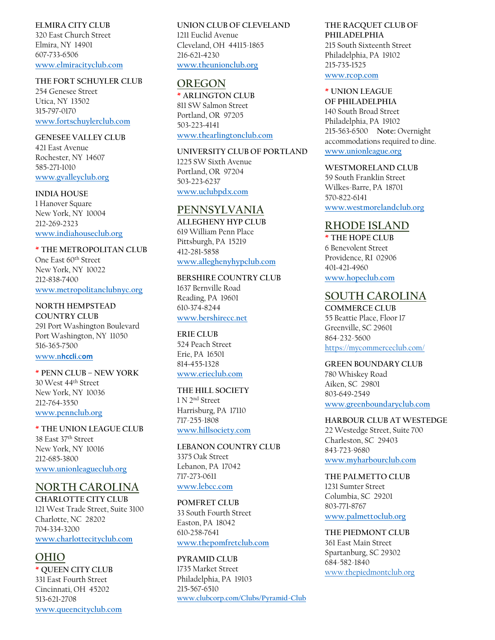#### **ELMIRA CITY CLUB**

320 East Church Street Elmira, NY 14901 607~733~6506 **[www.elmiracityclub.com](http://www.elmiracityclub.com/)**

#### **THE FORT SCHUYLER CLUB**

254 Genesee Street Utica, NY 13502 315~797~0170 **[www.fortschuylerclub.com](http://www.fortschuylerclub.co/)**

#### **GENESEE VALLEY CLUB**

421 East Avenue Rochester, NY 14607 585~271~1010 **[www.gvalleyclub.org](http://www.gvalleyclub.org/)**

#### **INDIA HOUSE**

1 Hanover Square New York, NY 10004 212~269~2323 **[www.indiahouseclub.org](http://www.indiahouseclub.org/)**

### **\* THE METROPOLITAN CLUB**

One East 60th Street New York, NY 10022 212~838~7400 **[www.metropolitanclubnyc.org](http://www.metropolitanclubnyc.org/)**

## **NORTH HEMPSTEAD**

**COUNTRY CLUB** 291 Port Washington Boulevard Port Washington, NY 11050 516~365~7500 **[www.n](http://www.nhccli.com/)hccli.c[om](http://www.nhccli.com/)**

#### **\* PENN CLUB – NEW YORK** 30 West 44th Street New York, NY 10036 212~764~3550 **[www.pennclub.org](http://www.pennclub.org/)**

#### **\* THE UNION LEAGUE CLUB** 38 East 37th Street New York, NY 10016 212~685~3800 **[www.unionleagueclub.org](http://www.unionleagueclub.org/)**

## **NORTH CAROLINA**

**CHARLOTTE CITY CLUB** 121 West Trade Street, Suite 3100 Charlotte, NC 28202 704~334~3200 **[www.charlottecityclub.com](http://www.charlottecityclub.com/)**

## **OHIO**

**\* QUEEN CITY CLUB** 331 East Fourth Street Cincinnati, OH 45202 513~621~2708 **[www.queencityclub.com](http://www.queencityclub.com/)**

#### **UNION CLUB OF CLEVELAND** 1211 Euclid Avenue Cleveland, OH 44115-1865 216~621~4230 **[www.theunionclub.org](http://www.theunionclub.org/)**

## **OREGON**

**\* ARLINGTON CLUB** 811 SW Salmon Street Portland, OR 97205 503~223~4141 **[www.thearlingtonclub.com](http://www.thearlingtonclub.com/)**

#### **UNIVERSITY CLUB OF PORTLAND**

1225 SW Sixth Avenue Portland, OR 97204 503~223~6237 **[www.uclubpdx.com](http://www.uclubpdx.co/)**

## **PENNSYLVANIA**

**ALLEGHENY HYP CLUB** 619 William Penn Place Pittsburgh, PA 15219 412~281~5858 **[www.alleghenyhypclub.com](http://www.alleghenyhypclub.com/)**

**BERSHIRE COUNTRY CLUB** 1637 Bernville Road Reading, PA 19601 610~374~8244

### **[www.bershirecc.net](http://www.bershirecc.net/)**

**ERIE CLUB** 524 Peach Street Erie, PA 16501 814~455~1328 **[www.erieclub.com](http://www.erieclub.com/)**

#### **THE HILL SOCIETY** 1 N 2nd Street Harrisburg, PA 17110

717-255-1808 **[www.hillsociety.com](http://www.hillsociety.com/)**

#### **LEBANON COUNTRY CLUB** 3375 Oak Street Lebanon, PA 17042 717~273~0611 **[www.lebcc.com](http://www.lebcc.com/)**

#### **POMFRET CLUB**

33 South Fourth Street Easton, PA 18042 610~258~7641 **[www.thepomfretclub.com](http://www.thepomfretclub.com/)**

#### **PYRAMID CLUB**

1735 Market Street Philadelphia, PA 19103 215~567~6510 **[www.clubcorp.com/Clubs/Pyramid-Club](http://www.clubcorp.com/Clubs/Pyramid-Club)**

#### **THE RACQUET CLUB OF PHILADELPHIA**

215 South Sixteenth Street Philadelphia, PA 19102 215~735~1525 **[www.rcop.com](http://www.rcop.com/)**

### **\* UNION LEAGUE**

**OF PHILADELPHIA** 140 South Broad Street Philadelphia, PA 19102 215~563~6500 **Note:** Overnight accommodations required to dine. **[www.unionleague.org](http://www.unionleague.org/)**

#### **WESTMORELAND CLUB**

59 South Franklin Street Wilkes-Barre, PA 18701 570~822~6141 **[www.westmorelandclub.org](http://www.westmorelandclub.org/)**

## **RHODE ISLAND**

**\* THE HOPE CLUB** 6 Benevolent Street Providence, RI 02906 401~421~4960 **[www.hopeclub.com](http://www.hopeclub.com/)**

### **SOUTH CAROLINA**

**COMMERCE CLUB** 55 Beattie Place, Floor 17 Greenville, SC 29601 864-232-5600 <https://mycommerceclub.com/>

#### **GREEN BOUNDARY CLUB**

780 Whiskey Road Aiken, SC 29801 803~649~2549 **[www.greenboundaryclub.com](http://www.greenboundaryclub.com/)**

#### **HARBOUR CLUB AT WESTEDGE**

22 Westedge Street, Suite 700 Charleston, SC 29403 843-723-9680 **[www.myharbourclub.com](http://www.myharbourclub.com/)**

#### **THE PALMETTO CLUB** 1231 Sumter Street

Columbia, SC 29201 803~771~8767 **[www.palmettoclub.org](http://www.palmettoclub.org/)**

### **THE PIEDMONT CLUB**

361 East Main Street Spartanburg, SC 29302 684-582-1840 [www.thepiedmontclub.org](http://www.thepiedmontclub.org/)